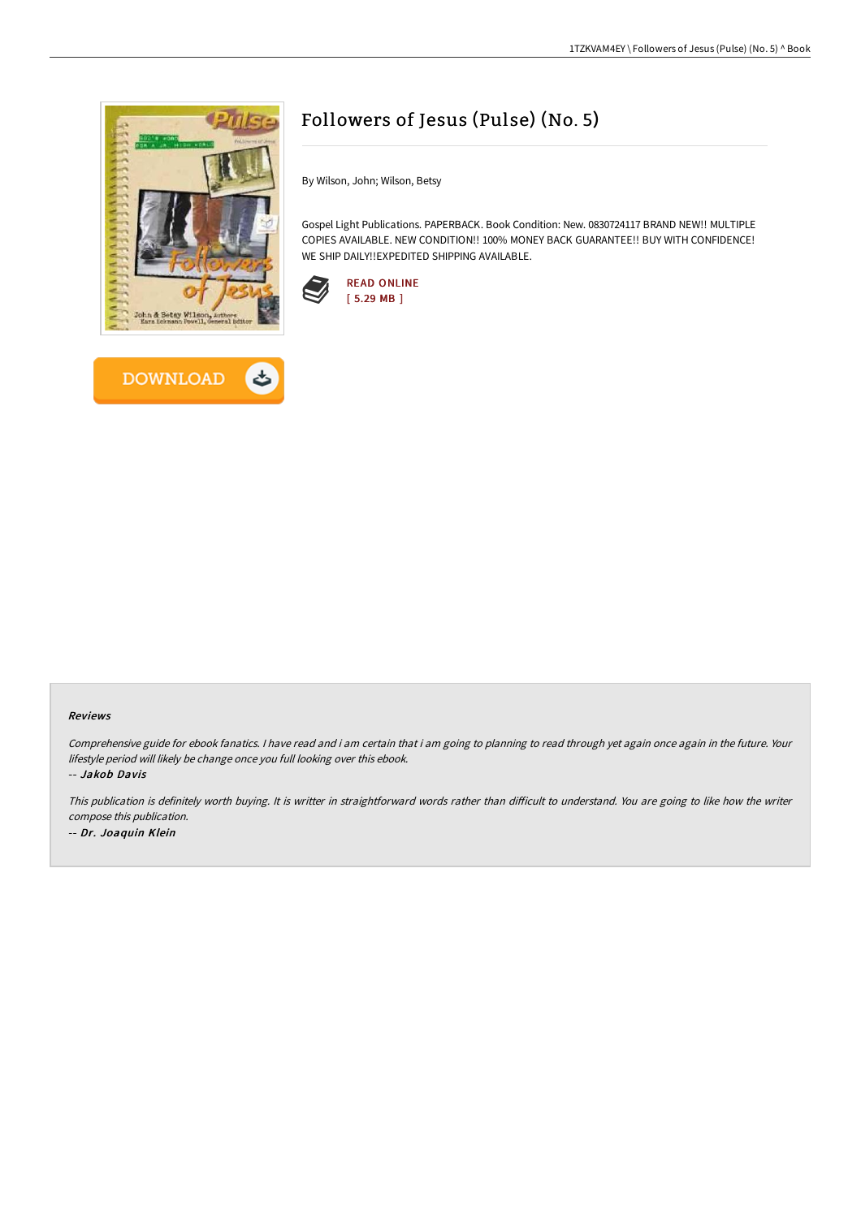



## Followers of Jesus (Pulse) (No. 5)

By Wilson, John; Wilson, Betsy

Gospel Light Publications. PAPERBACK. Book Condition: New. 0830724117 BRAND NEW!! MULTIPLE COPIES AVAILABLE. NEW CONDITION!! 100% MONEY BACK GUARANTEE!! BUY WITH CONFIDENCE! WE SHIP DAILY!!EXPEDITED SHIPPING AVAILABLE.



## Reviews

Comprehensive guide for ebook fanatics. I have read and i am certain that i am going to planning to read through yet again once again in the future. Your lifestyle period will likely be change once you full looking over this ebook.

-- Jakob Davis

This publication is definitely worth buying. It is writter in straightforward words rather than difficult to understand. You are going to like how the writer compose this publication. -- Dr. Joaquin Klein